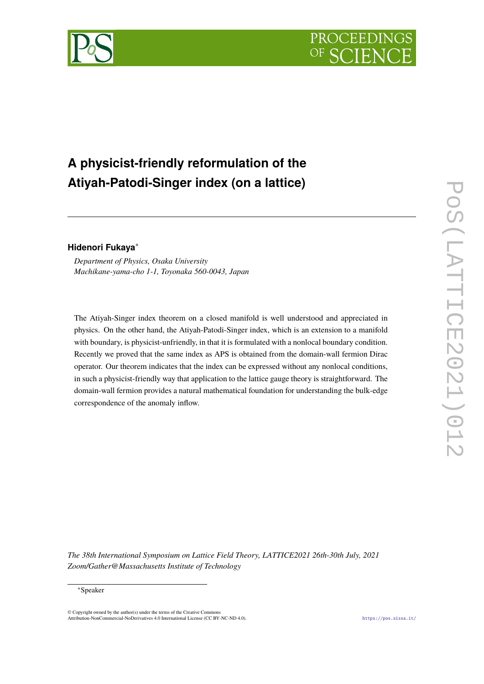



# **A physicist-friendly reformulation of the Atiyah-Patodi-Singer index (on a lattice)**

# **Hidenori Fukaya**<sup>∗</sup>

*Department of Physics, Osaka University Machikane-yama-cho 1-1, Toyonaka 560-0043, Japan*

The Atiyah-Singer index theorem on a closed manifold is well understood and appreciated in physics. On the other hand, the Atiyah-Patodi-Singer index, which is an extension to a manifold with boundary, is physicist-unfriendly, in that it is formulated with a nonlocal boundary condition. Recently we proved that the same index as APS is obtained from the domain-wall fermion Dirac operator. Our theorem indicates that the index can be expressed without any nonlocal conditions, in such a physicist-friendly way that application to the lattice gauge theory is straightforward. The domain-wall fermion provides a natural mathematical foundation for understanding the bulk-edge correspondence of the anomaly inflow.

*The 38th International Symposium on Lattice Field Theory, LATTICE2021 26th-30th July, 2021 Zoom/Gather@Massachusetts Institute of Technology*

### <sup>∗</sup>Speaker

© Copyright owned by the author(s) under the terms of the Creative Common Attribution-NonCommercial-NoDerivatives 4.0 International License (CC BY-NC-ND 4.0). <https://pos.sissa.it/>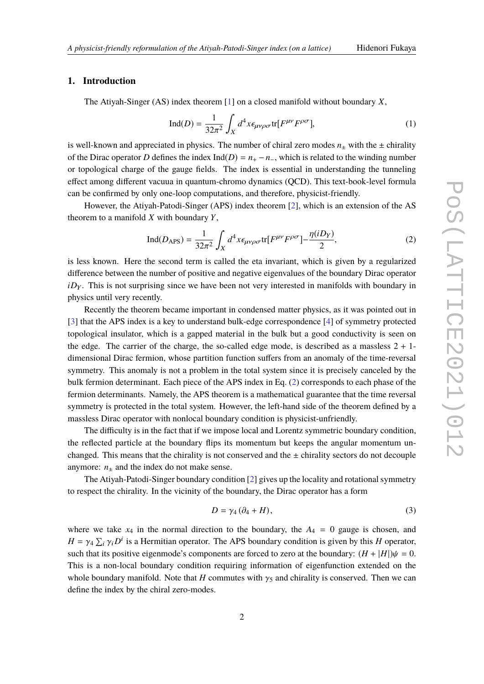# **1. Introduction**

The Atiyah-Singer (AS) index theorem [\[1\]](#page-7-0) on a closed manifold without boundary *X*,

$$
\text{Ind}(D) = \frac{1}{32\pi^2} \int_X d^4x \epsilon_{\mu\nu\rho\sigma} \text{tr}[F^{\mu\nu} F^{\rho\sigma}], \tag{1}
$$

is well-known and appreciated in physics. The number of chiral zero modes  $n<sub>±</sub>$  with the  $±$  chirality of the Dirac operator *D* defines the index Ind(*D*) =  $n_+ - n_-$ , which is related to the winding number or topological charge of the gauge fields. The index is essential in understanding the tunneling effect among different vacuua in quantum-chromo dynamics (QCD). This text-book-level formula can be confirmed by only one-loop computations, and therefore, physicist-friendly.

However, the Atiyah-Patodi-Singer (APS) index theorem [\[2\]](#page-7-1), which is an extension of the AS theorem to a manifold *X* with boundary *Y*,

<span id="page-1-0"></span>
$$
\text{Ind}(D_{\text{APS}}) = \frac{1}{32\pi^2} \int_X d^4x \epsilon_{\mu\nu\rho\sigma} \text{tr}[F^{\mu\nu} F^{\rho\sigma}] - \frac{\eta(iD_Y)}{2},\tag{2}
$$

is less known. Here the second term is called the eta invariant, which is given by a regularized difference between the number of positive and negative eigenvalues of the boundary Dirac operator *iD<sub>Y</sub>*. This is not surprising since we have been not very interested in manifolds with boundary in physics until very recently.

Recently the theorem became important in condensed matter physics, as it was pointed out in [\[3\]](#page-7-2) that the APS index is a key to understand bulk-edge correspondence [\[4\]](#page-8-0) of symmetry protected topological insulator, which is a gapped material in the bulk but a good conductivity is seen on the edge. The carrier of the charge, the so-called edge mode, is described as a massless  $2 + 1$ dimensional Dirac fermion, whose partition function suffers from an anomaly of the time-reversal symmetry. This anomaly is not a problem in the total system since it is precisely canceled by the bulk fermion determinant. Each piece of the APS index in Eq. [\(2\)](#page-1-0) corresponds to each phase of the fermion determinants. Namely, the APS theorem is a mathematical guarantee that the time reversal symmetry is protected in the total system. However, the left-hand side of the theorem defined by a massless Dirac operator with nonlocal boundary condition is physicist-unfriendly.

The difficulty is in the fact that if we impose local and Lorentz symmetric boundary condition, the reflected particle at the boundary flips its momentum but keeps the angular momentum unchanged. This means that the chirality is not conserved and the  $\pm$  chirality sectors do not decouple anymore:  $n_{+}$  and the index do not make sense.

The Atiyah-Patodi-Singer boundary condition [\[2\]](#page-7-1) gives up the locality and rotational symmetry to respect the chirality. In the vicinity of the boundary, the Dirac operator has a form

$$
D = \gamma_4 (\partial_4 + H), \tag{3}
$$

where we take  $x_4$  in the normal direction to the boundary, the  $A_4 = 0$  gauge is chosen, and  $H = \gamma_4 \sum_i \gamma_i D^i$  is a Hermitian operator. The APS boundary condition is given by this *H* operator, such that its positive eigenmode's components are forced to zero at the boundary:  $(H + |H|)\psi = 0$ . This is a non-local boundary condition requiring information of eigenfunction extended on the whole boundary manifold. Note that *H* commutes with  $\gamma_5$  and chirality is conserved. Then we can define the index by the chiral zero-modes.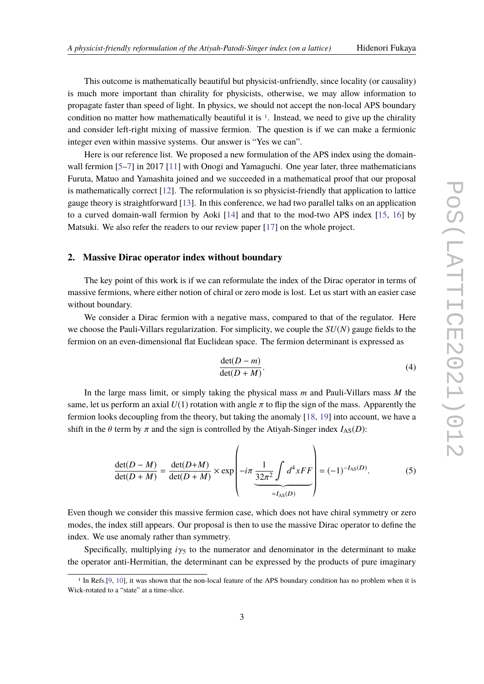This outcome is mathematically beautiful but physicist-unfriendly, since locality (or causality) is much more important than chirality for physicists, otherwise, we may allow information to propagate faster than speed of light. In physics, we should not accept the non-local APS boundary condition no matter how mathematically beautiful it is  $\frac{1}{1}$  $\frac{1}{1}$  $\frac{1}{1}$ . Instead, we need to give up the chirality and consider left-right mixing of massive fermion. The question is if we can make a fermionic integer even within massive systems. Our answer is "Yes we can".

Here is our reference list. We proposed a new formulation of the APS index using the domain-wall fermion [\[5](#page-8-1)[–7\]](#page-8-2) in 2017 [\[11\]](#page-8-3) with Onogi and Yamaguchi. One year later, three mathematicians Furuta, Matuo and Yamashita joined and we succeeded in a mathematical proof that our proposal is mathematically correct [\[12\]](#page-8-4). The reformulation is so physicist-friendly that application to lattice gauge theory is straightforward [\[13\]](#page-8-5). In this conference, we had two parallel talks on an application to a curved domain-wall fermion by Aoki [\[14\]](#page-8-6) and that to the mod-two APS index [\[15,](#page-8-7) [16\]](#page-8-8) by Matsuki. We also refer the readers to our review paper [\[17\]](#page-8-9) on the whole project.

## **2. Massive Dirac operator index without boundary**

The key point of this work is if we can reformulate the index of the Dirac operator in terms of massive fermions, where either notion of chiral or zero mode is lost. Let us start with an easier case without boundary.

We consider a Dirac fermion with a negative mass, compared to that of the regulator. Here we choose the Pauli-Villars regularization. For simplicity, we couple the *SU*(*N*) gauge fields to the fermion on an even-dimensional flat Euclidean space. The fermion determinant is expressed as

$$
\frac{\det(D-m)}{\det(D+M)}.\tag{4}
$$

In the large mass limit, or simply taking the physical mass *m* and Pauli-Villars mass *M* the same, let us perform an axial  $U(1)$  rotation with angle  $\pi$  to flip the sign of the mass. Apparently the fermion looks decoupling from the theory, but taking the anomaly [\[18,](#page-8-10) [19\]](#page-9-0) into account, we have a shift in the  $\theta$  term by  $\pi$  and the sign is controlled by the Atiyah-Singer index  $I_{AS}(D)$ :

$$
\frac{\det(D-M)}{\det(D+M)} = \frac{\det(D+M)}{\det(D+M)} \times \exp\left(-i\pi \underbrace{\frac{1}{32\pi^2} \int d^4 x FF}_{=I_{AS}(D)}\right) = (-1)^{-I_{AS}(D)}.
$$
 (5)

Even though we consider this massive fermion case, which does not have chiral symmetry or zero modes, the index still appears. Our proposal is then to use the massive Dirac operator to define the index. We use anomaly rather than symmetry.

Specifically, multiplying  $i\gamma_5$  to the numerator and denominator in the determinant to make the operator anti-Hermitian, the determinant can be expressed by the products of pure imaginary

<span id="page-2-0"></span><sup>&</sup>lt;sup>1</sup> In Refs.[\[9,](#page-8-11) [10\]](#page-8-12), it was shown that the non-local feature of the APS boundary condition has no problem when it is Wick-rotated to a "state" at a time-slice.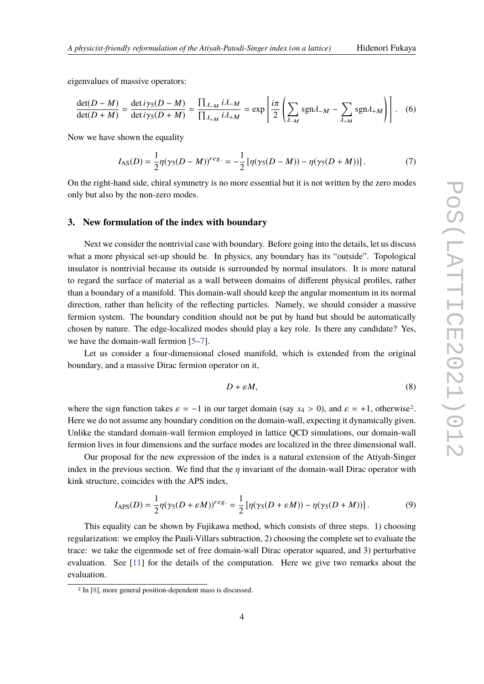eigenvalues of massive operators:

$$
\frac{\det(D-M)}{\det(D+M)} = \frac{\det i\gamma_5(D-M)}{\det i\gamma_5(D+M)} = \frac{\prod_{\lambda \vdash M} i\lambda_{-M}}{\prod_{\lambda \vdash M} i\lambda_{+M}} = \exp\left[\frac{i\pi}{2}\left(\sum_{\lambda \vdash M} sgn\lambda_{-M} - \sum_{\lambda \vdash M} sgn\lambda_{+M}\right)\right].
$$
 (6)

Now we have shown the equality

$$
I_{AS}(D) = \frac{1}{2} \eta(\gamma_5(D-M))^{reg.} = -\frac{1}{2} \left[ \eta(\gamma_5(D-M)) - \eta(\gamma_5(D+M)) \right]. \tag{7}
$$

On the right-hand side, chiral symmetry is no more essential but it is not written by the zero modes only but also by the non-zero modes.

#### **3. New formulation of the index with boundary**

Next we consider the nontrivial case with boundary. Before going into the details, let us discuss what a more physical set-up should be. In physics, any boundary has its "outside". Topological insulator is nontrivial because its outside is surrounded by normal insulators. It is more natural to regard the surface of material as a wall between domains of different physical profiles, rather than a boundary of a manifold. This domain-wall should keep the angular momentum in its normal direction, rather than helicity of the reflecting particles. Namely, we should consider a massive fermion system. The boundary condition should not be put by hand but should be automatically chosen by nature. The edge-localized modes should play a key role. Is there any candidate? Yes, we have the domain-wall fermion [\[5](#page-8-1)[–7\]](#page-8-2).

Let us consider a four-dimensional closed manifold, which is extended from the original boundary, and a massive Dirac fermion operator on it,

<span id="page-3-1"></span>
$$
D + \varepsilon M,\tag{8}
$$

where the sign function takes  $\varepsilon = -1$  in our target domain (say  $x_4 > 0$ ), and  $\varepsilon = +1$ , otherwise<sup>[2](#page-3-0)</sup>. Here we do not assume any boundary condition on the domain-wall, expecting it dynamically given. Unlike the standard domain-wall fermion employed in lattice QCD simulations, our domain-wall fermion lives in four dimensions and the surface modes are localized in the three dimensional wall.

Our proposal for the new expression of the index is a natural extension of the Atiyah-Singer index in the previous section. We find that the  $\eta$  invariant of the domain-wall Dirac operator with kink structure, coincides with the APS index,

$$
I_{\text{APS}}(D) = \frac{1}{2} \eta(\gamma_5(D + \varepsilon M))^{reg.} = \frac{1}{2} \left[ \eta(\gamma_5(D + \varepsilon M)) - \eta(\gamma_5(D + M)) \right]. \tag{9}
$$

This equality can be shown by Fujikawa method, which consists of three steps. 1) choosing regularization: we employ the Pauli-Villars subtraction, 2) choosing the complete set to evaluate the trace: we take the eigenmode set of free domain-wall Dirac operator squared, and 3) perturbative evaluation. See [\[11\]](#page-8-3) for the details of the computation. Here we give two remarks about the evaluation.

<span id="page-3-0"></span><sup>2</sup> In [\[8\]](#page-8-13), more general position-dependent mass is discussed.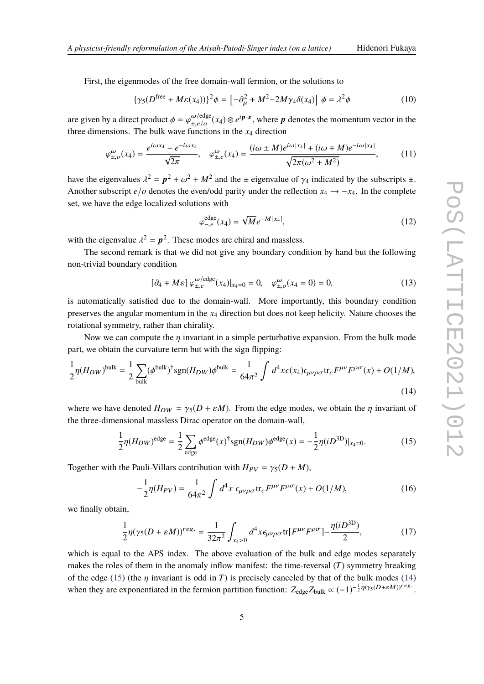First, the eigenmodes of the free domain-wall fermion, or the solutions to

$$
\{\gamma_5(D^{\text{free}} + M\varepsilon(x_4))\}^2 \phi = \left[-\partial_\mu^2 + M^2 - 2M\gamma_4 \delta(x_4)\right] \phi = \lambda^2 \phi \tag{10}
$$

are given by a direct product  $\phi = \varphi_{\pm, e/o}^{\omega/\text{edge}}$  $\frac{\omega}{\pm e/\rho}(x_4) \otimes e^{i\mathbf{p}\cdot\mathbf{x}}$ , where *p* denotes the momentum vector in the unctions in the *x*, direction three dimensions. The bulk wave functions in the  $x_4$  direction

$$
\varphi_{\pm,o}^{\omega}(x_4) = \frac{e^{i\omega x_4} - e^{-i\omega x_4}}{\sqrt{2\pi}}, \quad \varphi_{\pm,e}^{\omega}(x_4) = \frac{(i\omega \pm M)e^{i\omega |x_4|} + (i\omega \mp M)e^{-i\omega |x_4|}}{\sqrt{2\pi(\omega^2 + M^2)}},\tag{11}
$$

have the eigenvalues  $\lambda^2 = p^2 + \omega^2 + M^2$  and the  $\pm$  eigenvalue of  $\gamma_4$  indicated by the subscripts  $\pm$ . Another subscript *e*/*o* denotes the even/odd parity under the reflection  $x_4 \rightarrow -x_4$ . In the complete set, we have the edge localized solutions with

<span id="page-4-1"></span>
$$
\varphi_{-,e}^{\text{edge}}(x_4) = \sqrt{M}e^{-M|x_4|},\tag{12}
$$

with the eigenvalue  $\lambda^2 = p^2$ . These modes are chiral and massless.<br>The second manual is that we did not give any houndary cond

The second remark is that we did not give any boundary condition by hand but the following non-trivial boundary condition

$$
[\partial_4 \mp M\varepsilon] \varphi_{\pm, e}^{\omega/\text{edge}}(x_4)|_{x_4=0} = 0, \quad \varphi_{\pm, o}^{\omega}(x_4=0) = 0,\tag{13}
$$

is automatically satisfied due to the domain-wall. More importantly, this boundary condition preserves the angular momentum in the *x*<sup>4</sup> direction but does not keep helicity. Nature chooses the rotational symmetry, rather than chirality.

Now we can compute the  $\eta$  invariant in a simple perturbative expansion. From the bulk mode part, we obtain the curvature term but with the sign flipping:

$$
\frac{1}{2}\eta(H_{DW})^{\text{bulk}} = \frac{1}{2}\sum_{\text{bulk}}(\phi^{\text{bulk}})^{\dagger}\text{sgn}(H_{DW})\phi^{\text{bulk}} = \frac{1}{64\pi^2}\int d^4x \epsilon(x_4)\epsilon_{\mu\nu\rho\sigma}\text{tr}_c F^{\mu\nu}F^{\rho\sigma}(x) + O(1/M),\tag{14}
$$

where we have denoted  $H_{DW} = \gamma_5(D + \varepsilon M)$ . From the edge modes, we obtain the  $\eta$  invariant of the three-dimensional massless Dirac operator on the domain-wall,

$$
\frac{1}{2}\eta(H_{DW})^{\text{edge}} = \frac{1}{2}\sum_{\text{edge}}\phi^{\text{edge}}(x)^{\dagger}\text{sgn}(H_{DW})\phi^{\text{edge}}(x) = -\frac{1}{2}\eta(iD^{\text{3D}})|_{x_4=0}.\tag{15}
$$

Together with the Pauli-Villars contribution with  $H_{PV} = \gamma_5(D + M)$ ,

<span id="page-4-0"></span>
$$
-\frac{1}{2}\eta(H_{PV}) = \frac{1}{64\pi^2} \int d^4x \ \epsilon_{\mu\nu\rho\sigma} \text{tr}_c F^{\mu\nu} F^{\rho\sigma}(x) + O(1/M),\tag{16}
$$

we finally obtain,

$$
\frac{1}{2}\eta(\gamma_5(D+\varepsilon M))^{reg.} = \frac{1}{32\pi^2} \int_{x_4>0} d^4x \epsilon_{\mu\nu\rho\sigma} \text{tr}[F^{\mu\nu}F^{\rho\sigma}] - \frac{\eta(iD^{3D})}{2},\tag{17}
$$

which is equal to the APS index. The above evaluation of the bulk and edge modes separately makes the roles of them in the anomaly inflow manifest: the time-reversal (*T*) symmetry breaking of the edge [\(15\)](#page-4-0) (the  $\eta$  invariant is odd in *T*) is precisely canceled by that of the bulk modes [\(14\)](#page-4-1) when they are exponentiated in the fermion partition function:  $Z_{\text{edge}} Z_{\text{bulk}} \propto (-1)^{-\frac{1}{2}\eta(\gamma_5(D+\varepsilon M))^{reg}}$ .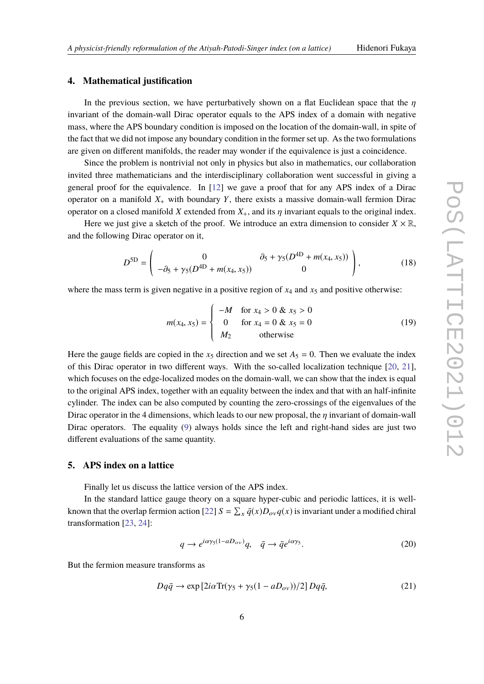# **4. Mathematical justification**

In the previous section, we have perturbatively shown on a flat Euclidean space that the  $\eta$ invariant of the domain-wall Dirac operator equals to the APS index of a domain with negative mass, where the APS boundary condition is imposed on the location of the domain-wall, in spite of the fact that we did not impose any boundary condition in the former set up. As the two formulations are given on different manifolds, the reader may wonder if the equivalence is just a coincidence.

Since the problem is nontrivial not only in physics but also in mathematics, our collaboration invited three mathematicians and the interdisciplinary collaboration went successful in giving a general proof for the equivalence. In [\[12\]](#page-8-4) we gave a proof that for any APS index of a Dirac operator on a manifold  $X_+$  with boundary  $Y$ , there exists a massive domain-wall fermion Dirac operator on a closed manifold *X* extended from  $X_+$ , and its  $\eta$  invariant equals to the original index.

Here we just give a sketch of the proof. We introduce an extra dimension to consider  $X \times \mathbb{R}$ , and the following Dirac operator on it,

$$
D^{SD} = \begin{pmatrix} 0 & \partial_5 + \gamma_5 (D^{4D} + m(x_4, x_5)) \\ -\partial_5 + \gamma_5 (D^{4D} + m(x_4, x_5)) & 0 \end{pmatrix},
$$
(18)

where the mass term is given negative in a positive region of  $x_4$  and  $x_5$  and positive otherwise:

J.

$$
m(x_4, x_5) = \begin{cases} -M & \text{for } x_4 > 0 \& x_5 > 0\\ 0 & \text{for } x_4 = 0 \& x_5 = 0\\ M_2 & \text{otherwise} \end{cases}
$$
(19)

Here the gauge fields are copied in the  $x_5$  direction and we set  $A_5 = 0$ . Then we evaluate the index of this Dirac operator in two different ways. With the so-called localization technique [\[20,](#page-9-1) [21\]](#page-9-2), which focuses on the edge-localized modes on the domain-wall, we can show that the index is equal to the original APS index, together with an equality between the index and that with an half-infinite cylinder. The index can be also computed by counting the zero-crossings of the eigenvalues of the Dirac operator in the 4 dimensions, which leads to our new proposal, the  $\eta$  invariant of domain-wall Dirac operators. The equality [\(9\)](#page-3-1) always holds since the left and right-hand sides are just two different evaluations of the same quantity.

### **5. APS index on a lattice**

Finally let us discuss the lattice version of the APS index.

In the standard lattice gauge theory on a square hyper-cubic and periodic lattices, it is well-known that the overlap fermion action [\[22\]](#page-9-3)  $S = \sum_{x} \bar{q}(x)D_{ov}q(x)$  is invariant under a modified chiral transformation [\[23,](#page-9-4) [24\]](#page-9-5):

$$
q \to e^{i\alpha\gamma_5(1-aD_{ov})}q, \quad \bar{q} \to \bar{q}e^{i\alpha\gamma_5}.\tag{20}
$$

But the fermion measure transforms as

$$
Dq\bar{q} \to \exp\left[2i\alpha \text{Tr}(\gamma_5 + \gamma_5(1 - aD_{ov}))/2\right]Dq\bar{q},\tag{21}
$$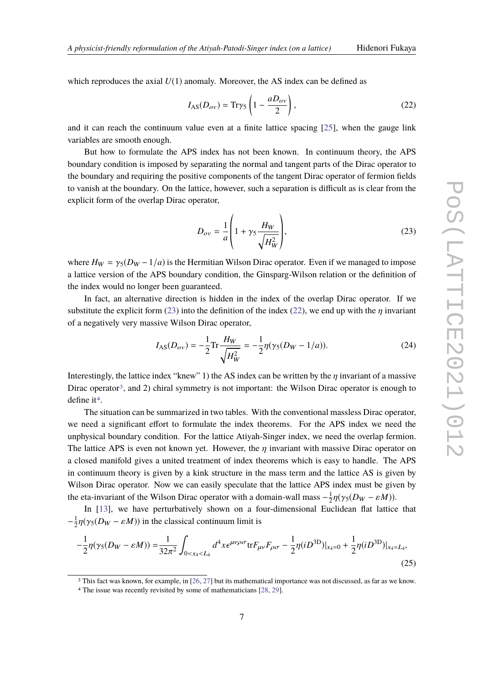<span id="page-6-1"></span><span id="page-6-0"></span>

which reproduces the axial  $U(1)$  anomaly. Moreover, the AS index can be defined as

$$
I_{AS}(D_{ov}) = \text{Tr}\gamma_5 \left( 1 - \frac{aD_{ov}}{2} \right),\tag{22}
$$

and it can reach the continuum value even at a finite lattice spacing [\[25\]](#page-9-6), when the gauge link variables are smooth enough.

But how to formulate the APS index has not been known. In continuum theory, the APS boundary condition is imposed by separating the normal and tangent parts of the Dirac operator to the boundary and requiring the positive components of the tangent Dirac operator of fermion fields to vanish at the boundary. On the lattice, however, such a separation is difficult as is clear from the explicit form of the overlap Dirac operator,

$$
D_{ov} = \frac{1}{a} \left( 1 + \gamma_5 \frac{H_W}{\sqrt{H_W^2}} \right),\tag{23}
$$

where  $H_W = \gamma_5(D_W - 1/a)$  is the Hermitian Wilson Dirac operator. Even if we managed to impose a lattice version of the APS boundary condition, the Ginsparg-Wilson relation or the definition of the index would no longer been guaranteed.

In fact, an alternative direction is hidden in the index of the overlap Dirac operator. If we substitute the explicit form [\(23\)](#page-6-0) into the definition of the index [\(22\)](#page-6-1), we end up with the  $\eta$  invariant of a negatively very massive Wilson Dirac operator,

$$
I_{AS}(D_{ov}) = -\frac{1}{2} \text{Tr} \frac{H_W}{\sqrt{H_W^2}} = -\frac{1}{2} \eta (\gamma_5 (D_W - 1/a)). \tag{24}
$$

Interestingly, the lattice index "knew" 1) the AS index can be written by the  $\eta$  invariant of a massive Dirac operator<sup>[3](#page-6-2)</sup>, and 2) chiral symmetry is not important: the Wilson Dirac operator is enough to define it<sup>[4](#page-6-3)</sup>.

The situation can be summarized in two tables. With the conventional massless Dirac operator, we need a significant effort to formulate the index theorems. For the APS index we need the unphysical boundary condition. For the lattice Atiyah-Singer index, we need the overlap fermion. The lattice APS is even not known yet. However, the  $\eta$  invariant with massive Dirac operator on a closed manifold gives a united treatment of index theorems which is easy to handle. The APS in continuum theory is given by a kink structure in the mass term and the lattice AS is given by Wilson Dirac operator. Now we can easily speculate that the lattice APS index must be given by the eta-invariant of the Wilson Dirac operator with a domain-wall mass  $-\frac{1}{2}$  $\frac{1}{2}\eta(\gamma_5(D_W - \varepsilon M)).$ 

In [\[13\]](#page-8-5), we have perturbatively shown on a four-dimensional Euclidean flat lattice that  $-\frac{1}{2}$  $\frac{1}{2}\eta(\gamma_5(D_W - \varepsilon M))$  in the classical continuum limit is

<span id="page-6-4"></span>
$$
-\frac{1}{2}\eta(\gamma_5(D_W - \varepsilon M)) = \frac{1}{32\pi^2} \int_{0 < x_4 < L_4} d^4x \epsilon^{\mu\nu\rho\sigma} \text{tr} F_{\mu\nu} F_{\rho\sigma} - \frac{1}{2}\eta (iD^{3D})|_{x_4=0} + \frac{1}{2}\eta (iD^{3D})|_{x_4=L_4},\tag{25}
$$

<span id="page-6-2"></span>3 This fact was known, for example, in [\[26,](#page-9-7) [27\]](#page-9-8) but its mathematical importance was not discussed, as far as we know.

<span id="page-6-3"></span><sup>4</sup> The issue was recently revisited by some of mathematicians [\[28,](#page-9-9) [29\]](#page-9-10).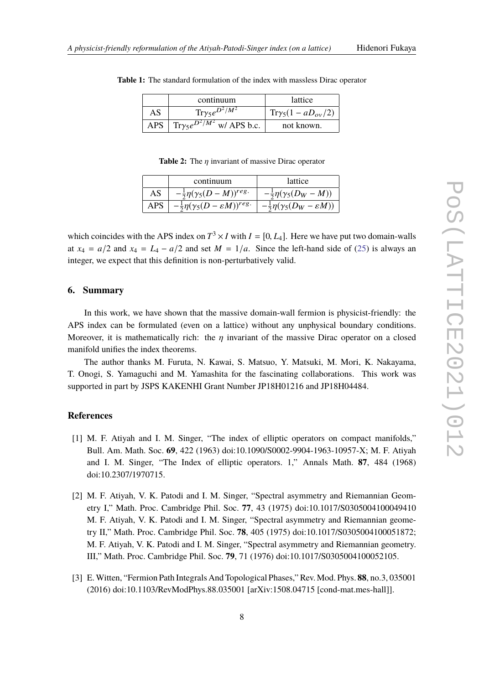|       | continuum                                         | lattice                   |
|-------|---------------------------------------------------|---------------------------|
| AS    | $\text{Tr}\gamma_5 e^{D^2/M^2}$                   | $Tr\gamma_5(1-aD_{ov}/2)$ |
| APS - | $\int$ Try <sub>5</sub> $e^{D^2/M^2}$ w/ APS b.c. | not known.                |

**Table 1:** The standard formulation of the index with massless Dirac operator

**Table 2:** The η invariant of massive Dirac operator

|      | continuum                                             | lattice                                         |
|------|-------------------------------------------------------|-------------------------------------------------|
| AS   | $-\frac{1}{2}\eta(\gamma_5(D-M))^{reg}$ .             | $-\frac{1}{2}\eta(\gamma_5(D_W-M))$             |
| APS. | $-\frac{1}{2}\eta(\gamma_5(D-\varepsilon M))^{reg}$ . | $-\frac{1}{2}\eta(\gamma_5(D_W-\varepsilon M))$ |
|      |                                                       |                                                 |

which coincides with the APS index on  $T^3 \times I$  with  $I = [0, L_4]$ . Here we have put two domain-walls at  $x_4 = a/2$  and  $x_4 = L_4 - a/2$  and set  $M = 1/a$ . Since the left-hand side of [\(25\)](#page-6-4) is always an integer, we expect that this definition is non-perturbatively valid.

# **6. Summary**

In this work, we have shown that the massive domain-wall fermion is physicist-friendly: the APS index can be formulated (even on a lattice) without any unphysical boundary conditions. Moreover, it is mathematically rich: the  $\eta$  invariant of the massive Dirac operator on a closed manifold unifies the index theorems.

The author thanks M. Furuta, N. Kawai, S. Matsuo, Y. Matsuki, M. Mori, K. Nakayama, T. Onogi, S. Yamaguchi and M. Yamashita for the fascinating collaborations. This work was supported in part by JSPS KAKENHI Grant Number JP18H01216 and JP18H04484.

# **References**

- <span id="page-7-0"></span>[1] M. F. Atiyah and I. M. Singer, "The index of elliptic operators on compact manifolds," Bull. Am. Math. Soc. **69**, 422 (1963) doi:10.1090/S0002-9904-1963-10957-X; M. F. Atiyah and I. M. Singer, "The Index of elliptic operators. 1," Annals Math. **87**, 484 (1968) doi:10.2307/1970715.
- <span id="page-7-1"></span>[2] M. F. Atiyah, V. K. Patodi and I. M. Singer, "Spectral asymmetry and Riemannian Geometry I," Math. Proc. Cambridge Phil. Soc. **77**, 43 (1975) doi:10.1017/S0305004100049410 M. F. Atiyah, V. K. Patodi and I. M. Singer, "Spectral asymmetry and Riemannian geometry II," Math. Proc. Cambridge Phil. Soc. **78**, 405 (1975) doi:10.1017/S0305004100051872; M. F. Atiyah, V. K. Patodi and I. M. Singer, "Spectral asymmetry and Riemannian geometry. III," Math. Proc. Cambridge Phil. Soc. **79**, 71 (1976) doi:10.1017/S0305004100052105.
- <span id="page-7-2"></span>[3] E.Witten, "Fermion Path Integrals And Topological Phases," Rev. Mod. Phys. **88**, no.3, 035001 (2016) doi:10.1103/RevModPhys.88.035001 [arXiv:1508.04715 [cond-mat.mes-hall]].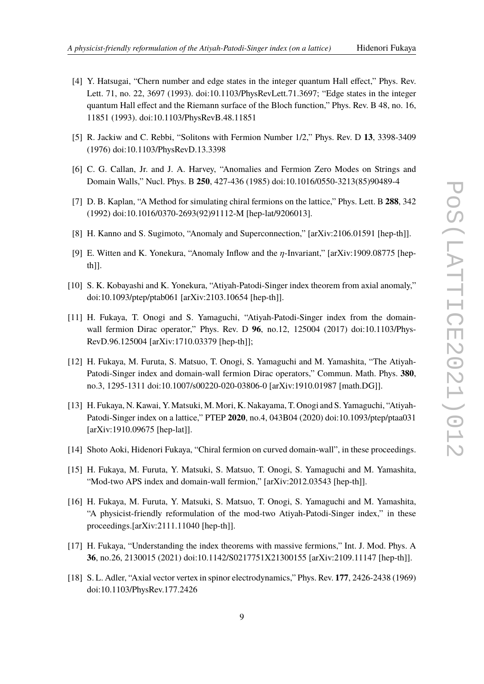- <span id="page-8-0"></span>[4] Y. Hatsugai, "Chern number and edge states in the integer quantum Hall effect," Phys. Rev. Lett. 71, no. 22, 3697 (1993). doi:10.1103/PhysRevLett.71.3697; "Edge states in the integer quantum Hall effect and the Riemann surface of the Bloch function," Phys. Rev. B 48, no. 16, 11851 (1993). doi:10.1103/PhysRevB.48.11851
- <span id="page-8-1"></span>[5] R. Jackiw and C. Rebbi, "Solitons with Fermion Number 1/2," Phys. Rev. D **13**, 3398-3409 (1976) doi:10.1103/PhysRevD.13.3398
- [6] C. G. Callan, Jr. and J. A. Harvey, "Anomalies and Fermion Zero Modes on Strings and Domain Walls," Nucl. Phys. B **250**, 427-436 (1985) doi:10.1016/0550-3213(85)90489-4
- <span id="page-8-2"></span>[7] D. B. Kaplan, "A Method for simulating chiral fermions on the lattice," Phys. Lett. B **288**, 342 (1992) doi:10.1016/0370-2693(92)91112-M [hep-lat/9206013].
- <span id="page-8-13"></span>[8] H. Kanno and S. Sugimoto, "Anomaly and Superconnection," [arXiv:2106.01591 [hep-th]].
- <span id="page-8-11"></span>[9] E. Witten and K. Yonekura, "Anomaly Inflow and the η-Invariant," [arXiv:1909.08775 [hepth]].
- <span id="page-8-12"></span>[10] S. K. Kobayashi and K. Yonekura, "Atiyah-Patodi-Singer index theorem from axial anomaly," doi:10.1093/ptep/ptab061 [arXiv:2103.10654 [hep-th]].
- <span id="page-8-3"></span>[11] H. Fukaya, T. Onogi and S. Yamaguchi, "Atiyah-Patodi-Singer index from the domainwall fermion Dirac operator," Phys. Rev. D **96**, no.12, 125004 (2017) doi:10.1103/Phys-RevD.96.125004 [arXiv:1710.03379 [hep-th]];
- <span id="page-8-4"></span>[12] H. Fukaya, M. Furuta, S. Matsuo, T. Onogi, S. Yamaguchi and M. Yamashita, "The Atiyah-Patodi-Singer index and domain-wall fermion Dirac operators," Commun. Math. Phys. **380**, no.3, 1295-1311 doi:10.1007/s00220-020-03806-0 [arXiv:1910.01987 [math.DG]].
- <span id="page-8-5"></span>[13] H. Fukaya, N. Kawai, Y. Matsuki, M. Mori, K. Nakayama, T. Onogi and S. Yamaguchi, "Atiyah-Patodi-Singer index on a lattice," PTEP **2020**, no.4, 043B04 (2020) doi:10.1093/ptep/ptaa031 [arXiv:1910.09675 [hep-lat]].
- <span id="page-8-6"></span>[14] Shoto Aoki, Hidenori Fukaya, "Chiral fermion on curved domain-wall", in these proceedings.
- <span id="page-8-7"></span>[15] H. Fukaya, M. Furuta, Y. Matsuki, S. Matsuo, T. Onogi, S. Yamaguchi and M. Yamashita, "Mod-two APS index and domain-wall fermion," [arXiv:2012.03543 [hep-th]].
- <span id="page-8-8"></span>[16] H. Fukaya, M. Furuta, Y. Matsuki, S. Matsuo, T. Onogi, S. Yamaguchi and M. Yamashita, "A physicist-friendly reformulation of the mod-two Atiyah-Patodi-Singer index," in these proceedings.[arXiv:2111.11040 [hep-th]].
- <span id="page-8-9"></span>[17] H. Fukaya, "Understanding the index theorems with massive fermions," Int. J. Mod. Phys. A **36**, no.26, 2130015 (2021) doi:10.1142/S0217751X21300155 [arXiv:2109.11147 [hep-th]].
- <span id="page-8-10"></span>[18] S. L. Adler, "Axial vector vertex in spinor electrodynamics," Phys. Rev. **177**, 2426-2438 (1969) doi:10.1103/PhysRev.177.2426